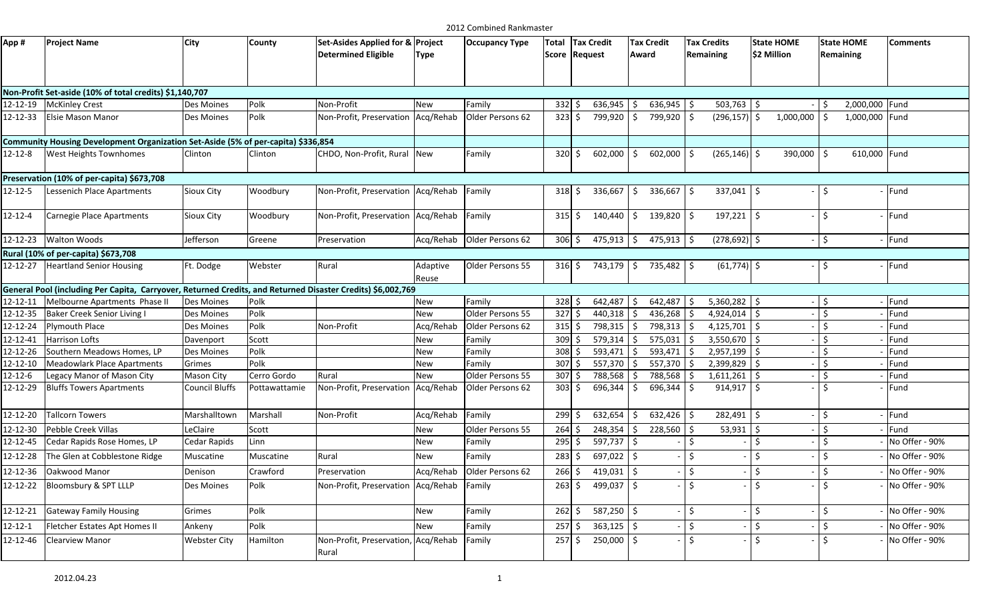| App #         | <b>Project Name</b>                                                                                         | City                  | County        | Set-Asides Applied for & Project<br><b>Determined Eligible</b> | Type              | <b>Occupancy Type</b>      | <b>Total</b>     |         | <b>Tax Credit</b><br>Score Request   | <b>Tax Credit</b><br>Award |      | <b>Tax Credits</b><br>Remaining | <b>State HOME</b><br>\$2 Million | <b>State HOME</b><br>Remaining | <b>Comments</b> |
|---------------|-------------------------------------------------------------------------------------------------------------|-----------------------|---------------|----------------------------------------------------------------|-------------------|----------------------------|------------------|---------|--------------------------------------|----------------------------|------|---------------------------------|----------------------------------|--------------------------------|-----------------|
|               | Non-Profit Set-aside (10% of total credits) \$1,140,707                                                     |                       |               |                                                                |                   |                            |                  |         |                                      |                            |      |                                 |                                  |                                |                 |
| 12-12-19      | <b>McKinley Crest</b>                                                                                       | Des Moines            | Polk          | Non-Profit                                                     | New               | Family                     | 332              | -Ś      | $636,945$ \$                         | 636,945                    | l \$ | $503,763$ \$                    |                                  | 2,000,000 Fund<br>S.           |                 |
| 12-12-33      | <b>Elsie Mason Manor</b>                                                                                    | Des Moines            | Polk          | Non-Profit, Preservation                                       | Acg/Rehab         | Older Persons 62           | $323 \mid 5$     |         | 799,920 \$                           | 799,920                    | l \$ | $(296, 157)$ \$                 | 1,000,000                        | 1,000,000 Fund<br>-\$          |                 |
|               | Community Housing Development Organization Set-Aside (5% of per-capita) \$336,854                           |                       |               |                                                                |                   |                            |                  |         |                                      |                            |      |                                 |                                  |                                |                 |
| $12 - 12 - 8$ | West Heights Townhomes                                                                                      | Clinton               | Clinton       | CHDO, Non-Profit, Rural New                                    |                   | Family                     | $320 \text{ S}$  |         | $602,000$ $\mid$ \$                  | 602,000                    |      | $(265, 146)$ \$                 | 390,000 \$                       | 610,000 Fund                   |                 |
|               | Preservation (10% of per-capita) \$673,708                                                                  |                       |               |                                                                |                   |                            |                  |         |                                      |                            |      |                                 |                                  |                                |                 |
| $12 - 12 - 5$ | Lessenich Place Apartments                                                                                  | <b>Sioux City</b>     | Woodbury      | Non-Profit, Preservation                                       | Acq/Rehab         | Family                     | $318 \mid \xi$   |         | $336,667$ \$                         | 336,667                    | l \$ | $337,041$ \$                    |                                  | Ŝ.                             | Fund            |
| $12 - 12 - 4$ | Carnegie Place Apartments                                                                                   | Sioux City            | Woodbury      | Non-Profit, Preservation Acq/Rehab Family                      |                   |                            | $315$ \$         |         | $140,440$ \$                         | $139,820$ \$               |      | $197,221$ \$                    |                                  | $\zeta$                        | Fund            |
| 12-12-23      | <b>Walton Woods</b>                                                                                         | Jefferson             | Greene        | Preservation                                                   |                   | Acg/Rehab Older Persons 62 | 306 <sup>5</sup> |         | $475,913$ \$                         | $475,913$ \$               |      | $(278, 692)$ \$                 |                                  | $\zeta$                        | Fund            |
|               | Rural (10% of per-capita) \$673,708                                                                         |                       |               |                                                                |                   |                            |                  |         |                                      |                            |      |                                 |                                  |                                |                 |
| 12-12-27      | <b>Heartland Senior Housing</b>                                                                             | Ft. Dodge             | Webster       | Rural                                                          | Adaptive<br>Reuse | Older Persons 55           |                  |         | $316 \div 743,179 \div 735,482 \div$ |                            |      | $(61,774)$ \$                   |                                  | Ŝ.                             | Fund            |
|               | General Pool (including Per Capita, Carryover, Returned Credits, and Returned Disaster Credits) \$6,002,769 |                       |               |                                                                |                   |                            |                  |         |                                      |                            |      |                                 |                                  |                                |                 |
| 12-12-11      | Melbourne Apartments Phase II                                                                               | Des Moines            | Polk          |                                                                | New               | Family                     | $328$ \$         |         | $642,487$ \$                         | 642,487                    |      | $5,360,282$ \$                  |                                  | $\zeta$                        | Fund            |
| 12-12-35      | <b>Baker Creek Senior Living I</b>                                                                          | Des Moines            | Polk          |                                                                | New               | Older Persons 55           | $327$ \$         |         | $440,318$ \$                         | 436,268                    |      | $4,924,014$ \$                  |                                  | $\zeta$                        | Fund            |
| 12-12-24      | Plymouth Place                                                                                              | Des Moines            | Polk          | Non-Profit                                                     | Acq/Rehab         | Older Persons 62           | $315$ \$         |         | 798,315 \$                           | 798,313                    |      | $4,125,701$ \$                  |                                  | $\zeta$                        | Fund            |
| 12-12-41      | <b>Harrison Lofts</b>                                                                                       | Davenport             | Scott         |                                                                | New               | Family                     | 309              | Ŝ.      | 579,314                              | 575,031<br>- Ś             |      | 3,550,670                       | -Ś                               | Ŝ.                             | Fund            |
| 12-12-26      | Southern Meadows Homes, LP                                                                                  | Des Moines            | Polk          |                                                                | New               | Family                     | $308 \div$       |         | 593,471                              | 593,471<br>Ŝ.              |      | $2,957,199$ \$                  |                                  | $\zeta$                        | Fund            |
| 12-12-10      | <b>Meadowlark Place Apartments</b>                                                                          | Grimes                | Polk          |                                                                | New               | Family                     | 307              | $\zeta$ | 557,370                              | 557,370                    |      | 2,399,829                       | Ŝ.                               | Ŝ.                             | Fund            |
| $12 - 12 - 6$ | Legacy Manor of Mason City                                                                                  | Mason City            | Cerro Gordo   | Rural                                                          | New               | Older Persons 55           | 307              | Ŝ.      | 788,568 \$                           | 788,568                    |      | $1,611,261$ \$                  |                                  | $\zeta$                        | Fund            |
| 12-12-29      | <b>Bluffs Towers Apartments</b>                                                                             | <b>Council Bluffs</b> | Pottawattamie | Non-Profit, Preservation                                       | Acq/Rehab         | Older Persons 62           | $303 \xi$        |         | 696,344 \$                           | 696,344                    | ۱Ś   | 914,917                         | \$                               | Ŝ.                             | Fund            |
| 12-12-20      | <b>Tallcorn Towers</b>                                                                                      | Marshalltown          | Marshall      | Non-Profit                                                     | Acq/Rehab         | Family                     | 2995             |         | $632,654$ \$                         | 632,426                    |      | 282,491                         | $\zeta$                          | $\zeta$                        | Fund            |
| 12-12-30      | Pebble Creek Villas                                                                                         | LeClaire              | Scott         |                                                                | New               | Older Persons 55           | 264              | Ŝ.      | $248,354$ \$                         | 228,560                    |      | 53,931                          | Ŝ.                               | \$                             | Fund            |
| 12-12-45      | Cedar Rapids Rose Homes, LP                                                                                 | Cedar Rapids          | Linn          |                                                                | New               | Family                     | $295 \,$ \$      |         | 597,737 \$                           |                            | ۱Ś.  |                                 | \$                               | $\ddot{\varsigma}$             | No Offer - 90%  |
| 12-12-28      | The Glen at Cobblestone Ridge                                                                               | Muscatine             | Muscatine     | Rural                                                          | New               | Family                     | 283              | S.      | $697,022$ \$                         |                            |      | $\zeta$                         | \$                               | $\zeta$                        | No Offer - 90%  |
| 12-12-36      | Oakwood Manor                                                                                               | Denison               | Crawford      | Preservation                                                   | Acq/Rehab         | Older Persons 62           | 266              | \$      | $419,031$ \$                         |                            |      | \$                              | \$                               | $\zeta$                        | No Offer - 90%  |
| 12-12-22      | Bloomsbury & SPT LLLP                                                                                       | Des Moines            | Polk          | Non-Profit, Preservation Acq/Rehab Family                      |                   |                            | $263 \, \simeq$  |         | 499,037 \$                           |                            |      | $\mathsf{S}$                    | $\mathsf{S}$                     | $\dot{\mathsf{S}}$             | No Offer - 90%  |
| 12-12-21      | <b>Gateway Family Housing</b>                                                                               | Grimes                | Polk          |                                                                | New               | Family                     | $262 \div$       |         | 587,250 \$                           |                            |      | $\ddot{\mathsf{S}}$             | $\zeta$                          | \$                             | No Offer - 90%  |
| $12 - 12 - 1$ | Fletcher Estates Apt Homes II                                                                               | Ankeny                | Polk          |                                                                | New               | Family                     | 257              | -Ś      | $363,125$ \$                         |                            |      | $\zeta$                         | \$                               | $\zeta$                        | No Offer - 90%  |
| 12-12-46      | <b>Clearview Manor</b>                                                                                      | <b>Webster City</b>   | Hamilton      | Non-Profit, Preservation, Acq/Rehab<br>Rural                   |                   | Family                     | 257              | \$      | 250,000 \$                           |                            |      | Ŝ.                              | Ś.                               | Ŝ.                             | No Offer - 90%  |

2012 Combined Rankmaster